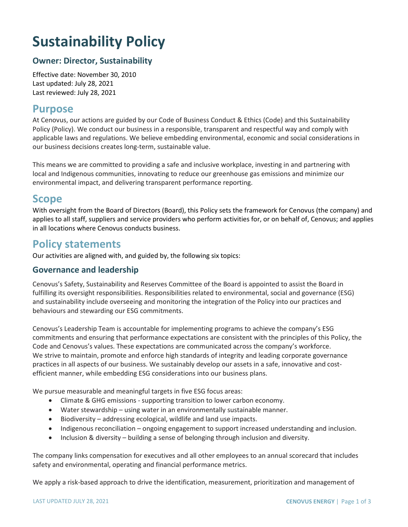# **Sustainability Policy**

## **Owner: Director, Sustainability**

Effective date: November 30, 2010 Last updated: July 28, 2021 Last reviewed: July 28, 2021

## **Purpose**

At Cenovus, our actions are guided by our Code of Business Conduct & Ethics (Code) and this Sustainability Policy (Policy). We conduct our business in a responsible, transparent and respectful way and comply with applicable laws and regulations. We believe embedding environmental, economic and social considerations in our business decisions creates long-term, sustainable value.

This means we are committed to providing a safe and inclusive workplace, investing in and partnering with local and Indigenous communities, innovating to reduce our greenhouse gas emissions and minimize our environmental impact, and delivering transparent performance reporting.

## **Scope**

With oversight from the Board of Directors (Board), this Policy sets the framework for Cenovus (the company) and applies to all staff, suppliers and service providers who perform activities for, or on behalf of, Cenovus; and applies in all locations where Cenovus conducts business.

# **Policy statements**

Our activities are aligned with, and guided by, the following six topics:

#### **Governance and leadership**

Cenovus's Safety, Sustainability and Reserves Committee of the Board is appointed to assist the Board in fulfilling its oversight responsibilities. Responsibilities related to environmental, social and governance (ESG) and sustainability include overseeing and monitoring the integration of the Policy into our practices and behaviours and stewarding our ESG commitments.

Cenovus's Leadership Team is accountable for implementing programs to achieve the company's ESG commitments and ensuring that performance expectations are consistent with the principles of this Policy, the Code and Cenovus's values. These expectations are communicated across the company's workforce. We strive to maintain, promote and enforce high standards of integrity and leading corporate governance practices in all aspects of our business. We sustainably develop our assets in a safe, innovative and costefficient manner, while embedding ESG considerations into our business plans.

We pursue measurable and meaningful targets in five ESG focus areas:

- Climate & GHG emissions supporting transition to lower carbon economy.
- Water stewardship using water in an environmentally sustainable manner.
- Biodiversity addressing ecological, wildlife and land use impacts.
- Indigenous reconciliation ongoing engagement to support increased understanding and inclusion.
- Inclusion & diversity building a sense of belonging through inclusion and diversity.

The company links compensation for executives and all other employees to an annual scorecard that includes safety and environmental, operating and financial performance metrics.

We apply a risk-based approach to drive the identification, measurement, prioritization and management of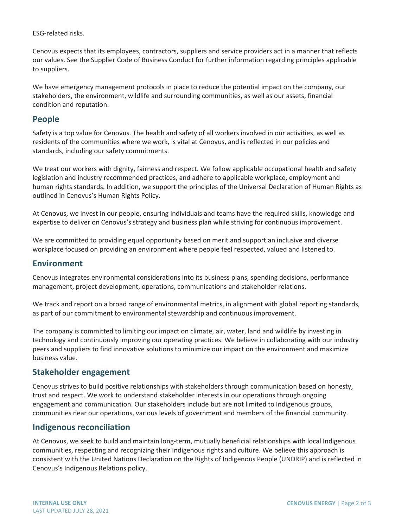ESG-related risks.

Cenovus expects that its employees, contractors, suppliers and service providers act in a manner that reflects our values. See the Supplier Code of Business Conduct for further information regarding principles applicable to suppliers.

We have emergency management protocols in place to reduce the potential impact on the company, our stakeholders, the environment, wildlife and surrounding communities, as well as our assets, financial condition and reputation.

#### **People**

Safety is a top value for Cenovus. The health and safety of all workers involved in our activities, as well as residents of the communities where we work, is vital at Cenovus, and is reflected in our policies and standards, including our safety commitments.

We treat our workers with dignity, fairness and respect. We follow applicable occupational health and safety legislation and industry recommended practices, and adhere to applicable workplace, employment and human rights standards. In addition, we support the principles of the Universal Declaration of Human Rights as outlined in Cenovus's Human Rights Policy.

At Cenovus, we invest in our people, ensuring individuals and teams have the required skills, knowledge and expertise to deliver on Cenovus's strategy and business plan while striving for continuous improvement.

We are committed to providing equal opportunity based on merit and support an inclusive and diverse workplace focused on providing an environment where people feel respected, valued and listened to.

#### **Environment**

Cenovus integrates environmental considerations into its business plans, spending decisions, performance management, project development, operations, communications and stakeholder relations.

We track and report on a broad range of environmental metrics, in alignment with global reporting standards, as part of our commitment to environmental stewardship and continuous improvement.

The company is committed to limiting our impact on climate, air, water, land and wildlife by investing in technology and continuously improving our operating practices. We believe in collaborating with our industry peers and suppliers to find innovative solutions to minimize our impact on the environment and maximize business value.

#### **Stakeholder engagement**

Cenovus strives to build positive relationships with stakeholders through communication based on honesty, trust and respect. We work to understand stakeholder interests in our operations through ongoing engagement and communication. Our stakeholders include but are not limited to Indigenous groups, communities near our operations, various levels of government and members of the financial community.

#### **Indigenous reconciliation**

At Cenovus, we seek to build and maintain long-term, mutually beneficial relationships with local Indigenous communities, respecting and recognizing their Indigenous rights and culture. We believe this approach is consistent with the United Nations Declaration on the Rights of Indigenous People (UNDRIP) and is reflected in Cenovus's Indigenous Relations policy.